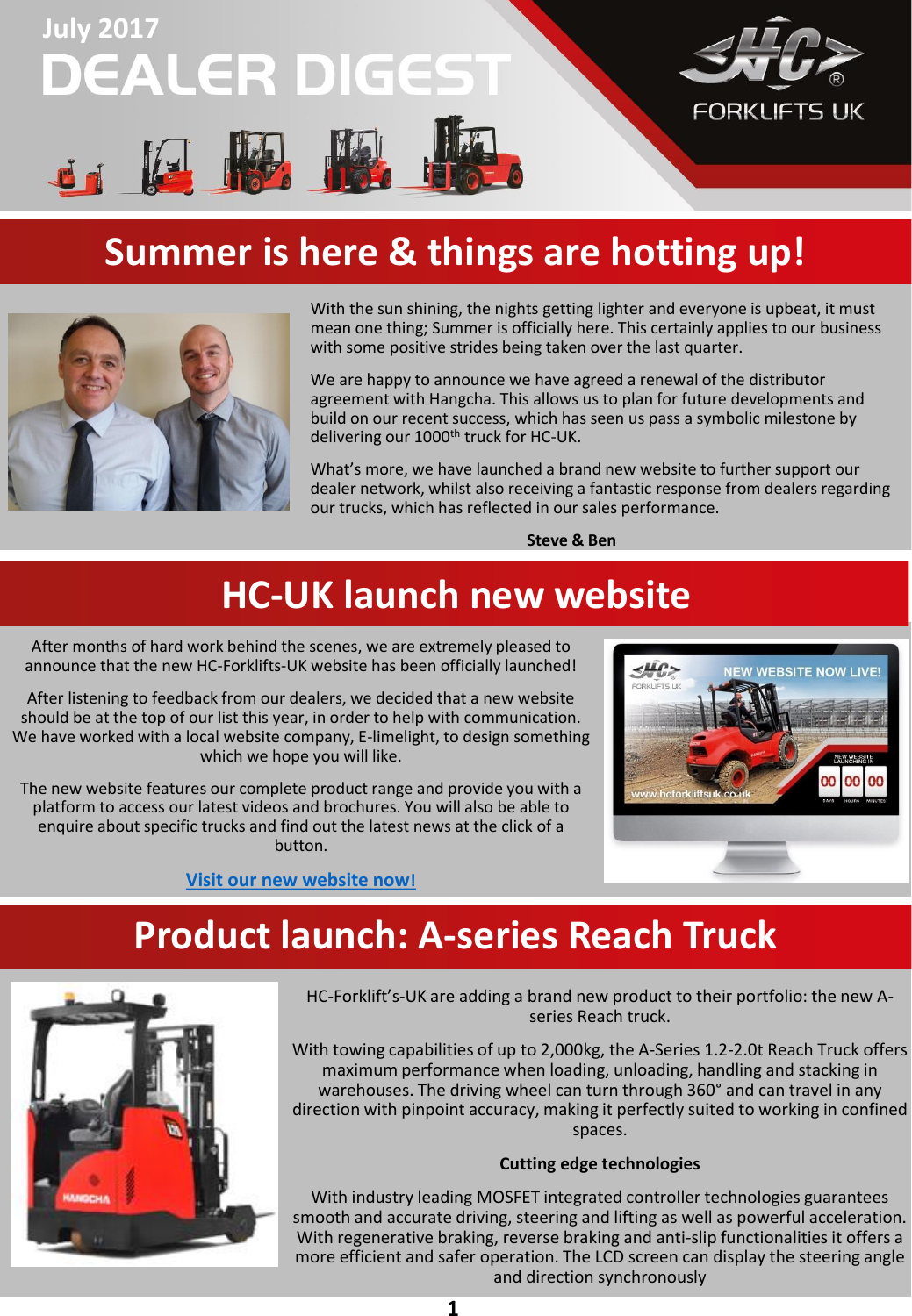# **July 2017 DEALER DIGEST**



## **Summer is here & things are hotting up!**



With the sun shining, the nights getting lighter and everyone is upbeat, it must mean one thing; Summer is officially here. This certainly applies to our business with some positive strides being taken over the last quarter.

We are happy to announce we have agreed a renewal of the distributor agreement with Hangcha. This allows us to plan for future developments and build on our recent success, which has seen us pass a symbolic milestone by delivering our 1000<sup>th</sup> truck for HC-UK.

What's more, we have launched a brand new website to further support our dealer network, whilst also receiving a fantastic response from dealers regarding our trucks, which has reflected in our sales performance.

**Steve & Ben** 

## **HC-UK launch new website**

After months of hard work behind the scenes, we are extremely pleased to announce that the new HC-Forklifts-UK website has been officially launched!

After listening to feedback from our dealers, we decided that a new website should be at the top of our list this year, in order to help with communication. We have worked with a local website company, E-limelight, to design something which we hope you will like.

The new website features our complete product range and provide you with a platform to access our latest videos and brochures. You will also be able to enquire about specific trucks and find out the latest news at the click of a button.

**[Visit our new website now](https://www.hcforklifts.co.uk/)!** 



#### **Product launch: A-series Reach Truck**



HC-Forklift's-UK are adding a brand new product to their portfolio: the new Aseries Reach truck.

With towing capabilities of up to 2,000kg, the A-Series 1.2-2.0t Reach Truck offers maximum performance when loading, unloading, handling and stacking in warehouses. The driving wheel can turn through 360° and can travel in any direction with pinpoint accuracy, making it perfectly suited to working in confined spaces.

#### **Cutting edge technologies**

With industry leading MOSFET integrated controller technologies guarantees smooth and accurate driving, steering and lifting as well as powerful acceleration. With regenerative braking, reverse braking and anti-slip functionalities it offers a more efficient and safer operation. The LCD screen can display the steering angle and direction synchronously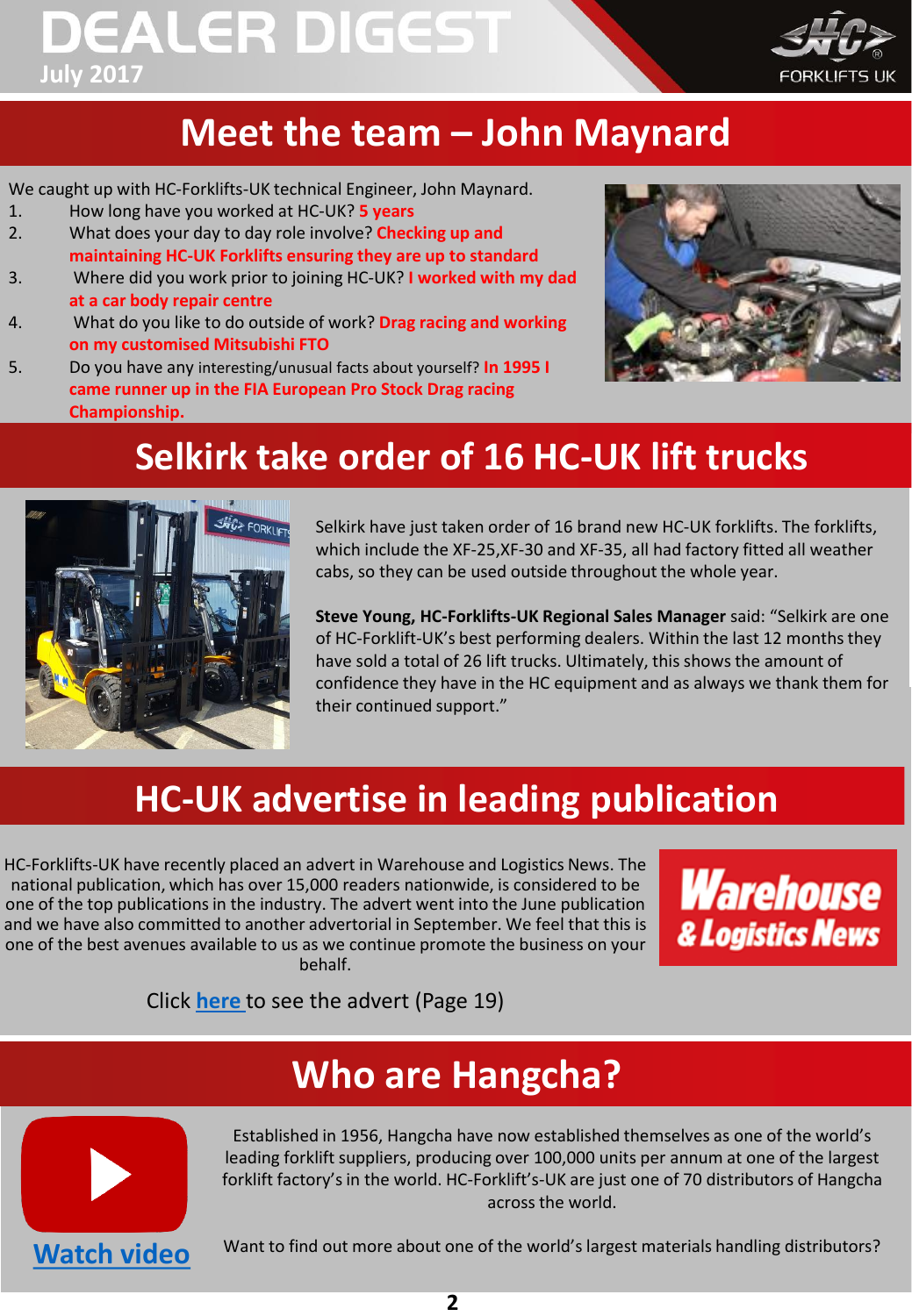# **DEALER DIGEST July 2017**



# **Meet the team – John Maynard**

We caught up with HC-Forklifts-UK technical Engineer, John Maynard.

- 1. How long have you worked at HC-UK? **5 years**
- 2. What does your day to day role involve? **Checking up and maintaining HC-UK Forklifts ensuring they are up to standard**
- 3. Where did you work prior to joining HC-UK? **I worked with my dad at a car body repair centre**
- 4. What do you like to do outside of work? **Drag racing and working on my customised Mitsubishi FTO**
- 5. Do you have any interesting/unusual facts about yourself? **In 1995 I came runner up in the FIA European Pro Stock Drag racing Championship.**



# **Selkirk take order of 16 HC-UK lift trucks**



Selkirk have just taken order of 16 brand new HC-UK forklifts. The forklifts, which include the XF-25,XF-30 and XF-35, all had factory fitted all weather cabs, so they can be used outside throughout the whole year.

**Steve Young, HC-Forklifts-UK Regional Sales Manager** said: "Selkirk are one of HC-Forklift-UK's best performing dealers. Within the last 12 months they have sold a total of 26 lift trucks. Ultimately, this shows the amount of confidence they have in the HC equipment and as always we thank them for their continued support."

# **HC-UK advertise in leading publication**

HC-Forklifts-UK have recently placed an advert in Warehouse and Logistics News. The national publication, which has over 15,000 readers nationwide, is considered to be one of the top publications in the industry. The advert went into the June publication and we have also committed to another advertorial in September. We feel that this is one of the best avenues available to us as we continue promote the business on your behalf.



Click **[here](http://warehousenews.co.uk/digital/jun117/)** to see the advert (Page 19)

## **Who are Hangcha?**



Established in 1956, Hangcha have now established themselves as one of the world's leading forklift suppliers, producing over 100,000 units per annum at one of the largest forklift factory's in the world. HC-Forklift's-UK are just one of 70 distributors of Hangcha across the world.

[Watch video](https://www.youtube.com/watch?v=0ygFAOw_3q0) Want to find out more about one of the world's largest materials handling distributors?